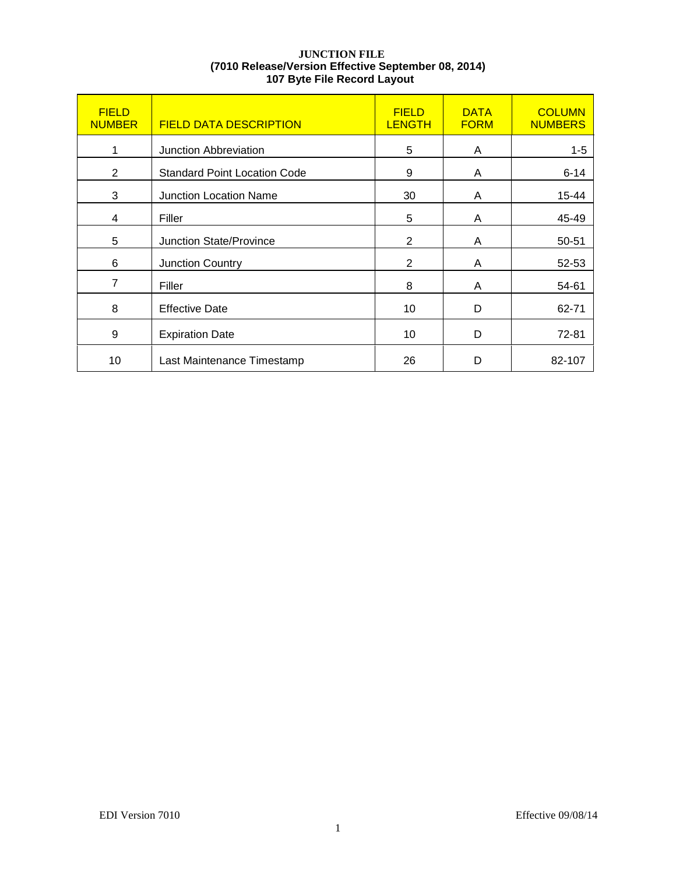## **JUNCTION FILE (7010 Release/Version Effective September 08, 2014) 107 Byte File Record Layout**

| <b>FIELD</b><br><b>NUMBER</b> | <b>FIELD DATA DESCRIPTION</b>       | <b>FIELD</b><br><b>LENGTH</b> | <b>DATA</b><br><b>FORM</b> | <b>COLUMN</b><br><b>NUMBERS</b> |
|-------------------------------|-------------------------------------|-------------------------------|----------------------------|---------------------------------|
| 1                             | Junction Abbreviation               | 5                             | A                          | $1 - 5$                         |
| $\overline{2}$                | <b>Standard Point Location Code</b> | 9                             | A                          | $6 - 14$                        |
| 3                             | <b>Junction Location Name</b>       | 30                            | A                          | 15-44                           |
| 4                             | Filler                              | 5                             | A                          | 45-49                           |
| 5                             | <b>Junction State/Province</b>      | 2                             | A                          | 50-51                           |
| 6                             | <b>Junction Country</b>             | 2                             | A                          | 52-53                           |
| $\overline{7}$                | Filler                              | 8                             | A                          | 54-61                           |
| 8                             | <b>Effective Date</b>               | 10                            | D                          | 62-71                           |
| 9                             | <b>Expiration Date</b>              | 10                            | D                          | 72-81                           |
| 10                            | Last Maintenance Timestamp          | 26                            | D                          | 82-107                          |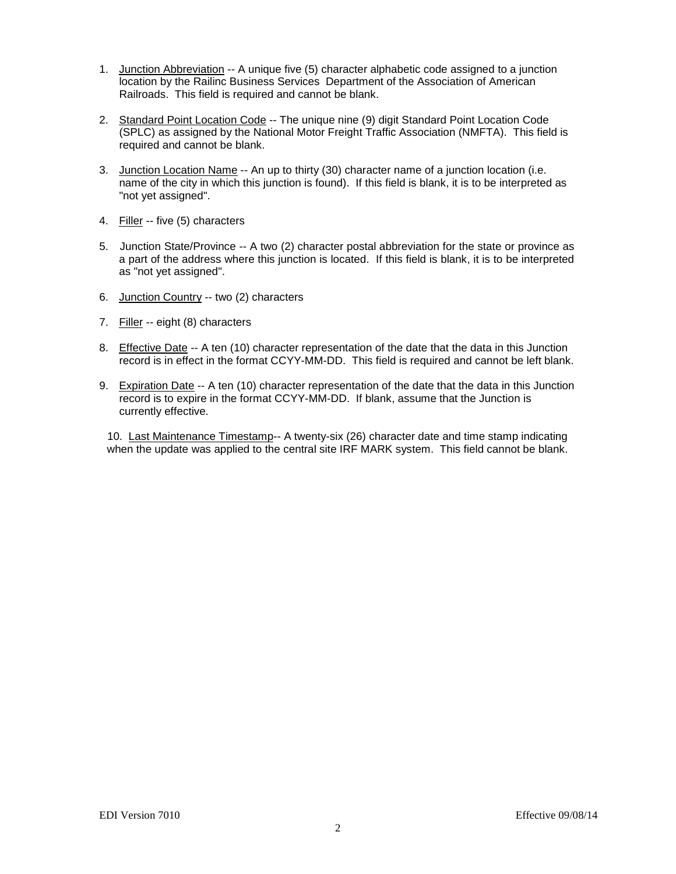- 1. Junction Abbreviation -- A unique five (5) character alphabetic code assigned to a junction location by the Railinc Business Services Department of the Association of American Railroads. This field is required and cannot be blank.
- 2. Standard Point Location Code -- The unique nine (9) digit Standard Point Location Code (SPLC) as assigned by the National Motor Freight Traffic Association (NMFTA). This field is required and cannot be blank.
- 3. Junction Location Name -- An up to thirty (30) character name of a junction location (i.e. name of the city in which this junction is found). If this field is blank, it is to be interpreted as "not yet assigned".
- 4. Filler -- five (5) characters
- 5. Junction State/Province -- A two (2) character postal abbreviation for the state or province as a part of the address where this junction is located. If this field is blank, it is to be interpreted as "not yet assigned".
- 6. Junction Country -- two (2) characters
- 7. Filler -- eight (8) characters
- 8. Effective Date -- A ten (10) character representation of the date that the data in this Junction record is in effect in the format CCYY-MM-DD. This field is required and cannot be left blank.
- 9. Expiration Date -- A ten (10) character representation of the date that the data in this Junction record is to expire in the format CCYY-MM-DD. If blank, assume that the Junction is currently effective.

10. Last Maintenance Timestamp-- A twenty-six (26) character date and time stamp indicating when the update was applied to the central site IRF MARK system. This field cannot be blank.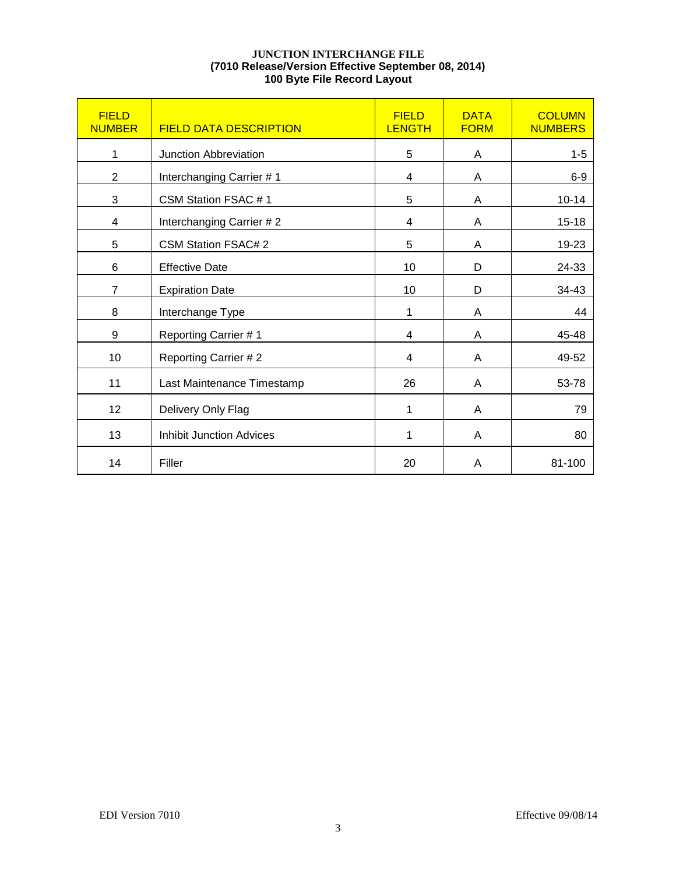## **JUNCTION INTERCHANGE FILE (7010 Release/Version Effective September 08, 2014) 100 Byte File Record Layout**

| <b>FIELD</b><br><b>NUMBER</b> | <b>FIELD DATA DESCRIPTION</b>   | <b>FIELD</b><br><b>LENGTH</b> | <b>DATA</b><br><b>FORM</b> | <b>COLUMN</b><br><b>NUMBERS</b> |
|-------------------------------|---------------------------------|-------------------------------|----------------------------|---------------------------------|
| 1                             | Junction Abbreviation           | 5                             | A                          | $1 - 5$                         |
| $\overline{2}$                | Interchanging Carrier #1        | 4                             | A                          | $6-9$                           |
| 3                             | CSM Station FSAC #1             | 5                             | A                          | $10 - 14$                       |
| 4                             | Interchanging Carrier #2        | 4                             | Α                          | $15 - 18$                       |
| 5                             | <b>CSM Station FSAC# 2</b>      | 5                             | Α                          | 19-23                           |
| 6                             | <b>Effective Date</b>           | 10                            | D                          | 24-33                           |
| $\overline{7}$                | <b>Expiration Date</b>          | 10                            | D                          | 34-43                           |
| 8                             | Interchange Type                | 1                             | A                          | 44                              |
| 9                             | Reporting Carrier #1            | 4                             | A                          | 45-48                           |
| 10                            | Reporting Carrier #2            | 4                             | A                          | 49-52                           |
| 11                            | Last Maintenance Timestamp      | 26                            | A                          | 53-78                           |
| 12                            | Delivery Only Flag              | 1                             | A                          | 79                              |
| 13                            | <b>Inhibit Junction Advices</b> | 1                             | A                          | 80                              |
| 14                            | Filler                          | 20                            | Α                          | 81-100                          |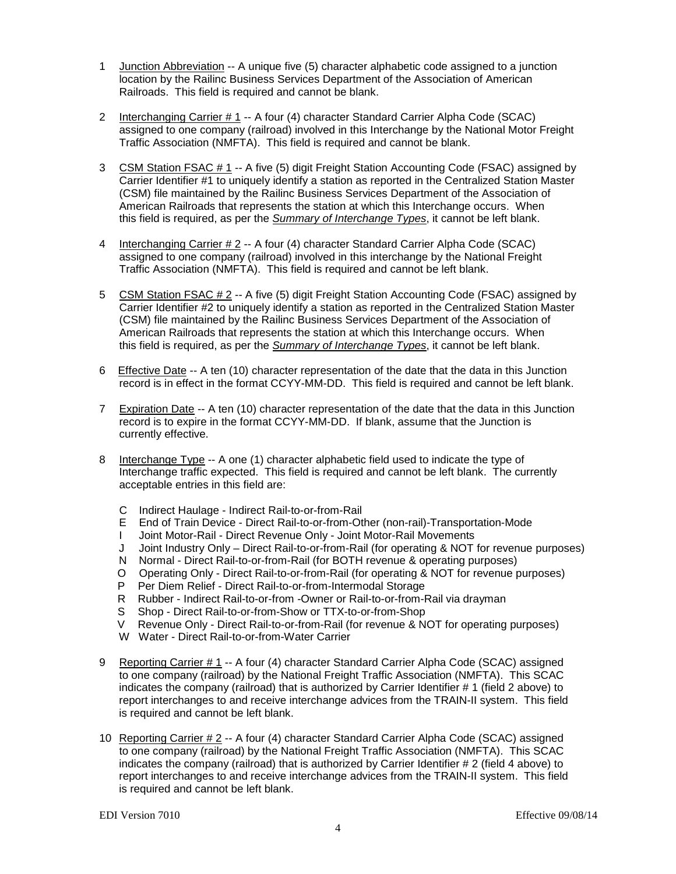- 1 Junction Abbreviation -- A unique five (5) character alphabetic code assigned to a junction location by the Railinc Business Services Department of the Association of American Railroads. This field is required and cannot be blank.
- 2 Interchanging Carrier # 1 -- A four (4) character Standard Carrier Alpha Code (SCAC) assigned to one company (railroad) involved in this Interchange by the National Motor Freight Traffic Association (NMFTA). This field is required and cannot be blank.
- 3 CSM Station FSAC # 1 -- A five (5) digit Freight Station Accounting Code (FSAC) assigned by Carrier Identifier #1 to uniquely identify a station as reported in the Centralized Station Master (CSM) file maintained by the Railinc Business Services Department of the Association of American Railroads that represents the station at which this Interchange occurs. When this field is required, as per the *Summary of Interchange Types*, it cannot be left blank.
- 4 Interchanging Carrier # 2 -- A four (4) character Standard Carrier Alpha Code (SCAC) assigned to one company (railroad) involved in this interchange by the National Freight Traffic Association (NMFTA). This field is required and cannot be left blank.
- 5 CSM Station FSAC # 2 -- A five (5) digit Freight Station Accounting Code (FSAC) assigned by Carrier Identifier #2 to uniquely identify a station as reported in the Centralized Station Master (CSM) file maintained by the Railinc Business Services Department of the Association of American Railroads that represents the station at which this Interchange occurs. When this field is required, as per the *Summary of Interchange Types*, it cannot be left blank.
- 6 Effective Date -- A ten (10) character representation of the date that the data in this Junction record is in effect in the format CCYY-MM-DD. This field is required and cannot be left blank.
- 7 Expiration Date -- A ten (10) character representation of the date that the data in this Junction record is to expire in the format CCYY-MM-DD. If blank, assume that the Junction is currently effective.
- 8 Interchange Type -- A one (1) character alphabetic field used to indicate the type of Interchange traffic expected. This field is required and cannot be left blank. The currently acceptable entries in this field are:
	- C Indirect Haulage Indirect Rail-to-or-from-Rail
	- E End of Train Device Direct Rail-to-or-from-Other (non-rail)-Transportation-Mode
	- I Joint Motor-Rail Direct Revenue Only Joint Motor-Rail Movements
	- J Joint Industry Only Direct Rail-to-or-from-Rail (for operating & NOT for revenue purposes)
	- N Normal Direct Rail-to-or-from-Rail (for BOTH revenue & operating purposes)
	- O Operating Only Direct Rail-to-or-from-Rail (for operating & NOT for revenue purposes)
	- P Per Diem Relief Direct Rail-to-or-from-Intermodal Storage
	- R Rubber Indirect Rail-to-or-from -Owner or Rail-to-or-from-Rail via drayman
	- S Shop Direct Rail-to-or-from-Show or TTX-to-or-from-Shop
	- V Revenue Only Direct Rail-to-or-from-Rail (for revenue & NOT for operating purposes)
	- W Water Direct Rail-to-or-from-Water Carrier
- 9 Reporting Carrier # 1 -- A four (4) character Standard Carrier Alpha Code (SCAC) assigned to one company (railroad) by the National Freight Traffic Association (NMFTA). This SCAC indicates the company (railroad) that is authorized by Carrier Identifier # 1 (field 2 above) to report interchanges to and receive interchange advices from the TRAIN-II system. This field is required and cannot be left blank.
- 10 Reporting Carrier # 2 -- A four (4) character Standard Carrier Alpha Code (SCAC) assigned to one company (railroad) by the National Freight Traffic Association (NMFTA). This SCAC indicates the company (railroad) that is authorized by Carrier Identifier # 2 (field 4 above) to report interchanges to and receive interchange advices from the TRAIN-II system. This field is required and cannot be left blank.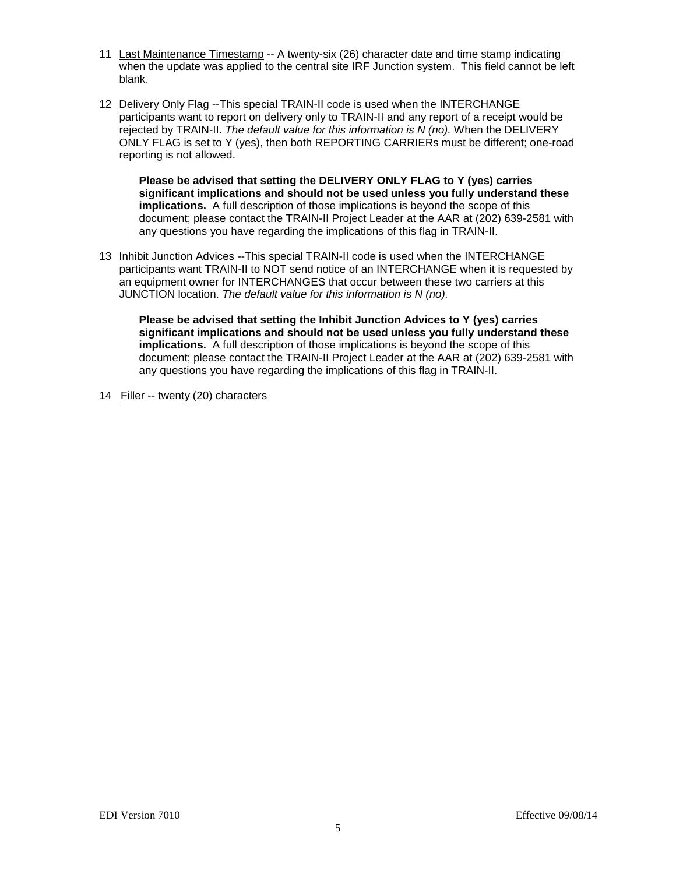- 11 Last Maintenance Timestamp -- A twenty-six (26) character date and time stamp indicating when the update was applied to the central site IRF Junction system. This field cannot be left blank.
- 12 Delivery Only Flag --This special TRAIN-II code is used when the INTERCHANGE participants want to report on delivery only to TRAIN-II and any report of a receipt would be rejected by TRAIN-II. *The default value for this information is N (no).* When the DELIVERY ONLY FLAG is set to Y (yes), then both REPORTING CARRIERs must be different; one-road reporting is not allowed.

**Please be advised that setting the DELIVERY ONLY FLAG to Y (yes) carries significant implications and should not be used unless you fully understand these implications.** A full description of those implications is beyond the scope of this document; please contact the TRAIN-II Project Leader at the AAR at (202) 639-2581 with any questions you have regarding the implications of this flag in TRAIN-II.

13 Inhibit Junction Advices --This special TRAIN-II code is used when the INTERCHANGE participants want TRAIN-II to NOT send notice of an INTERCHANGE when it is requested by an equipment owner for INTERCHANGES that occur between these two carriers at this JUNCTION location. *The default value for this information is N (no).*

**Please be advised that setting the Inhibit Junction Advices to Y (yes) carries significant implications and should not be used unless you fully understand these implications.** A full description of those implications is beyond the scope of this document; please contact the TRAIN-II Project Leader at the AAR at (202) 639-2581 with any questions you have regarding the implications of this flag in TRAIN-II.

14 Filler -- twenty (20) characters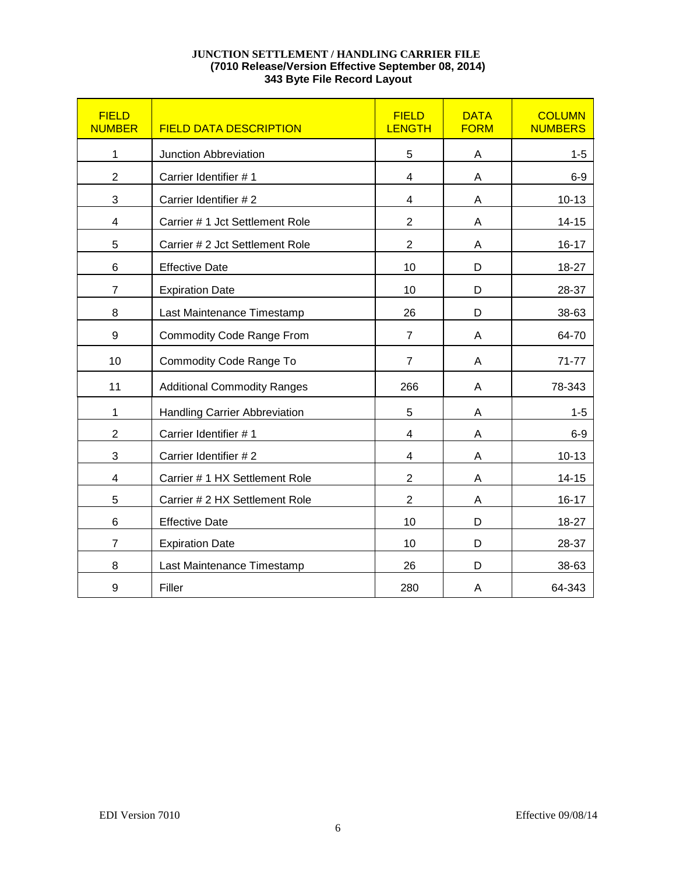## **JUNCTION SETTLEMENT / HANDLING CARRIER FILE (7010 Release/Version Effective September 08, 2014) 343 Byte File Record Layout**

| <b>FIELD</b><br><b>NUMBER</b> | <b>FIELD DATA DESCRIPTION</b>        | <b>FIELD</b><br><b>LENGTH</b> | <b>DATA</b><br><b>FORM</b> | <b>COLUMN</b><br><b>NUMBERS</b> |
|-------------------------------|--------------------------------------|-------------------------------|----------------------------|---------------------------------|
| 1                             | Junction Abbreviation                | 5                             | A                          | $1 - 5$                         |
| $\overline{2}$                | Carrier Identifier #1                | 4                             | Α                          | $6-9$                           |
| 3                             | Carrier Identifier #2                | 4                             | A                          | $10 - 13$                       |
| 4                             | Carrier #1 Jct Settlement Role       | $\overline{2}$                | A                          | $14 - 15$                       |
| 5                             | Carrier # 2 Jct Settlement Role      | $\overline{2}$                | A                          | $16 - 17$                       |
| 6                             | <b>Effective Date</b>                | 10                            | D                          | 18-27                           |
| $\overline{7}$                | <b>Expiration Date</b>               | 10                            | D                          | 28-37                           |
| 8                             | Last Maintenance Timestamp           | 26                            | D                          | 38-63                           |
| 9                             | Commodity Code Range From            | $\overline{7}$                | A                          | 64-70                           |
| 10                            | <b>Commodity Code Range To</b>       | $\overline{7}$                | A                          | $71 - 77$                       |
| 11                            | <b>Additional Commodity Ranges</b>   | 266                           | A                          | 78-343                          |
| 1                             | <b>Handling Carrier Abbreviation</b> | 5                             | Α                          | $1 - 5$                         |
| $\overline{2}$                | Carrier Identifier #1                | $\overline{\mathbf{4}}$       | A                          | $6 - 9$                         |
| 3                             | Carrier Identifier #2                | $\overline{\mathbf{4}}$       | A                          | $10 - 13$                       |
| $\overline{\mathbf{4}}$       | Carrier # 1 HX Settlement Role       | $\overline{2}$                | A                          | $14 - 15$                       |
| 5                             | Carrier # 2 HX Settlement Role       | $\overline{2}$                | Α                          | $16 - 17$                       |
| 6                             | <b>Effective Date</b>                | 10                            | D                          | 18-27                           |
| $\overline{7}$                | <b>Expiration Date</b>               | 10                            | D                          | 28-37                           |
| 8                             | Last Maintenance Timestamp           | 26                            | D                          | 38-63                           |
| 9                             | Filler                               | 280                           | A                          | 64-343                          |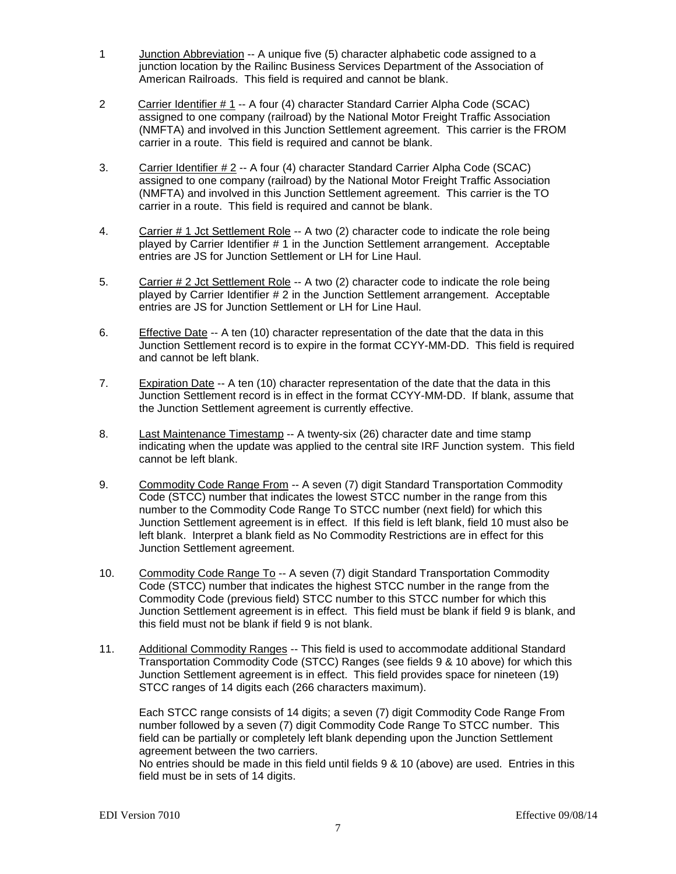- 1 Junction Abbreviation -- A unique five (5) character alphabetic code assigned to a junction location by the Railinc Business Services Department of the Association of American Railroads. This field is required and cannot be blank.
- 2 Carrier Identifier # 1 -- A four (4) character Standard Carrier Alpha Code (SCAC) assigned to one company (railroad) by the National Motor Freight Traffic Association (NMFTA) and involved in this Junction Settlement agreement. This carrier is the FROM carrier in a route. This field is required and cannot be blank.
- 3. Carrier Identifier # 2 -- A four (4) character Standard Carrier Alpha Code (SCAC) assigned to one company (railroad) by the National Motor Freight Traffic Association (NMFTA) and involved in this Junction Settlement agreement. This carrier is the TO carrier in a route. This field is required and cannot be blank.
- 4. Carrier # 1 Jct Settlement Role -- A two (2) character code to indicate the role being played by Carrier Identifier # 1 in the Junction Settlement arrangement. Acceptable entries are JS for Junction Settlement or LH for Line Haul.
- 5. Carrier # 2 Jct Settlement Role -- A two (2) character code to indicate the role being played by Carrier Identifier # 2 in the Junction Settlement arrangement. Acceptable entries are JS for Junction Settlement or LH for Line Haul.
- 6. Effective Date -- A ten (10) character representation of the date that the data in this Junction Settlement record is to expire in the format CCYY-MM-DD. This field is required and cannot be left blank.
- 7. Expiration Date -- A ten (10) character representation of the date that the data in this Junction Settlement record is in effect in the format CCYY-MM-DD. If blank, assume that the Junction Settlement agreement is currently effective.
- 8. Last Maintenance Timestamp -- A twenty-six (26) character date and time stamp indicating when the update was applied to the central site IRF Junction system. This field cannot be left blank.
- 9. Commodity Code Range From -- A seven (7) digit Standard Transportation Commodity Code (STCC) number that indicates the lowest STCC number in the range from this number to the Commodity Code Range To STCC number (next field) for which this Junction Settlement agreement is in effect. If this field is left blank, field 10 must also be left blank. Interpret a blank field as No Commodity Restrictions are in effect for this Junction Settlement agreement.
- 10. Commodity Code Range To -- A seven (7) digit Standard Transportation Commodity Code (STCC) number that indicates the highest STCC number in the range from the Commodity Code (previous field) STCC number to this STCC number for which this Junction Settlement agreement is in effect. This field must be blank if field 9 is blank, and this field must not be blank if field 9 is not blank.
- 11. Additional Commodity Ranges -- This field is used to accommodate additional Standard Transportation Commodity Code (STCC) Ranges (see fields 9 & 10 above) for which this Junction Settlement agreement is in effect. This field provides space for nineteen (19) STCC ranges of 14 digits each (266 characters maximum).

Each STCC range consists of 14 digits; a seven (7) digit Commodity Code Range From number followed by a seven (7) digit Commodity Code Range To STCC number. This field can be partially or completely left blank depending upon the Junction Settlement agreement between the two carriers.

No entries should be made in this field until fields 9 & 10 (above) are used. Entries in this field must be in sets of 14 digits.